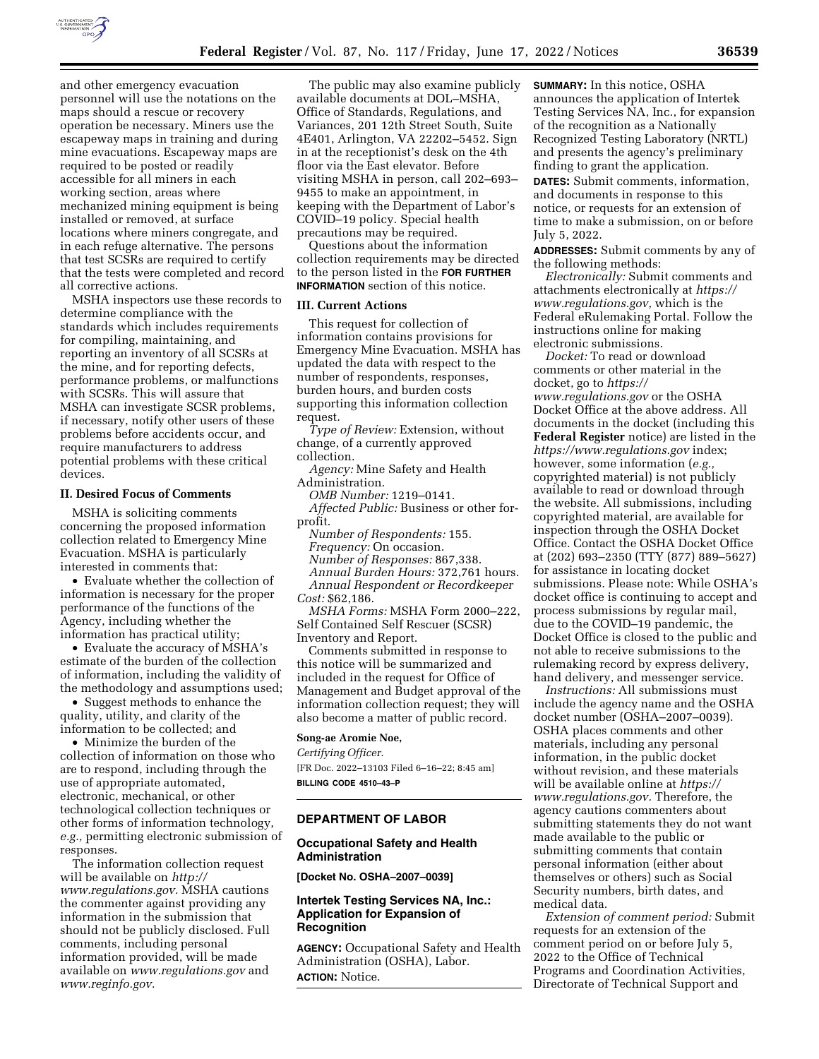

and other emergency evacuation personnel will use the notations on the maps should a rescue or recovery operation be necessary. Miners use the escapeway maps in training and during mine evacuations. Escapeway maps are required to be posted or readily accessible for all miners in each working section, areas where mechanized mining equipment is being installed or removed, at surface locations where miners congregate, and in each refuge alternative. The persons that test SCSRs are required to certify that the tests were completed and record all corrective actions.

MSHA inspectors use these records to determine compliance with the standards which includes requirements for compiling, maintaining, and reporting an inventory of all SCSRs at the mine, and for reporting defects, performance problems, or malfunctions with SCSRs. This will assure that MSHA can investigate SCSR problems, if necessary, notify other users of these problems before accidents occur, and require manufacturers to address potential problems with these critical devices.

#### **II. Desired Focus of Comments**

MSHA is soliciting comments concerning the proposed information collection related to Emergency Mine Evacuation. MSHA is particularly interested in comments that:

• Evaluate whether the collection of information is necessary for the proper performance of the functions of the Agency, including whether the information has practical utility;

• Evaluate the accuracy of MSHA's estimate of the burden of the collection of information, including the validity of the methodology and assumptions used;

• Suggest methods to enhance the quality, utility, and clarity of the information to be collected; and

• Minimize the burden of the collection of information on those who are to respond, including through the use of appropriate automated, electronic, mechanical, or other technological collection techniques or other forms of information technology, *e.g.,* permitting electronic submission of responses.

The information collection request will be available on *[http://](http://www.regulations.gov) [www.regulations.gov.](http://www.regulations.gov)* MSHA cautions the commenter against providing any information in the submission that should not be publicly disclosed. Full comments, including personal information provided, will be made available on *[www.regulations.gov](http://www.regulations.gov)* and *[www.reginfo.gov.](http://www.reginfo.gov)* 

The public may also examine publicly available documents at DOL–MSHA, Office of Standards, Regulations, and Variances, 201 12th Street South, Suite 4E401, Arlington, VA 22202–5452. Sign in at the receptionist's desk on the 4th floor via the East elevator. Before visiting MSHA in person, call 202–693– 9455 to make an appointment, in keeping with the Department of Labor's COVID–19 policy. Special health precautions may be required.

Questions about the information collection requirements may be directed to the person listed in the **FOR FURTHER INFORMATION** section of this notice.

#### **III. Current Actions**

This request for collection of information contains provisions for Emergency Mine Evacuation. MSHA has updated the data with respect to the number of respondents, responses, burden hours, and burden costs supporting this information collection request.

*Type of Review:* Extension, without change, of a currently approved collection.

*Agency:* Mine Safety and Health Administration.

*OMB Number:* 1219–0141. *Affected Public:* Business or other forprofit.

*Number of Respondents:* 155.

*Frequency:* On occasion.

*Number of Responses:* 867,338.

*Annual Burden Hours:* 372,761 hours. *Annual Respondent or Recordkeeper Cost:* \$62,186.

*MSHA Forms:* MSHA Form 2000–222, Self Contained Self Rescuer (SCSR) Inventory and Report.

Comments submitted in response to this notice will be summarized and included in the request for Office of Management and Budget approval of the information collection request; they will also become a matter of public record.

#### **Song-ae Aromie Noe,**

*Certifying Officer.*  [FR Doc. 2022–13103 Filed 6–16–22; 8:45 am] **BILLING CODE 4510–43–P** 

# **DEPARTMENT OF LABOR**

## **Occupational Safety and Health Administration**

**[Docket No. OSHA–2007–0039]** 

## **Intertek Testing Services NA, Inc.: Application for Expansion of Recognition**

**AGENCY:** Occupational Safety and Health Administration (OSHA), Labor. **ACTION:** Notice.

**SUMMARY:** In this notice, OSHA announces the application of Intertek Testing Services NA, Inc., for expansion of the recognition as a Nationally Recognized Testing Laboratory (NRTL) and presents the agency's preliminary finding to grant the application.

**DATES:** Submit comments, information, and documents in response to this notice, or requests for an extension of time to make a submission, on or before July 5, 2022.

**ADDRESSES:** Submit comments by any of the following methods:

*Electronically:* Submit comments and attachments electronically at *[https://](https://www.regulations.gov) [www.regulations.gov,](https://www.regulations.gov)* which is the Federal eRulemaking Portal. Follow the instructions online for making electronic submissions.

*Docket:* To read or download comments or other material in the docket, go to *[https://](https://www.regulations.gov) [www.regulations.gov](https://www.regulations.gov)* or the OSHA Docket Office at the above address. All documents in the docket (including this **Federal Register** notice) are listed in the *<https://www.regulations.gov>* index; however, some information (*e.g.,*  copyrighted material) is not publicly available to read or download through the website. All submissions, including copyrighted material, are available for inspection through the OSHA Docket Office. Contact the OSHA Docket Office at (202) 693–2350 (TTY (877) 889–5627) for assistance in locating docket submissions. Please note: While OSHA's docket office is continuing to accept and process submissions by regular mail, due to the COVID–19 pandemic, the Docket Office is closed to the public and not able to receive submissions to the rulemaking record by express delivery, hand delivery, and messenger service.

*Instructions:* All submissions must include the agency name and the OSHA docket number (OSHA–2007–0039). OSHA places comments and other materials, including any personal information, in the public docket without revision, and these materials will be available online at *[https://](https://www.regulations.gov) [www.regulations.gov.](https://www.regulations.gov)* Therefore, the agency cautions commenters about submitting statements they do not want made available to the public or submitting comments that contain personal information (either about themselves or others) such as Social Security numbers, birth dates, and medical data.

*Extension of comment period:* Submit requests for an extension of the comment period on or before July 5, 2022 to the Office of Technical Programs and Coordination Activities, Directorate of Technical Support and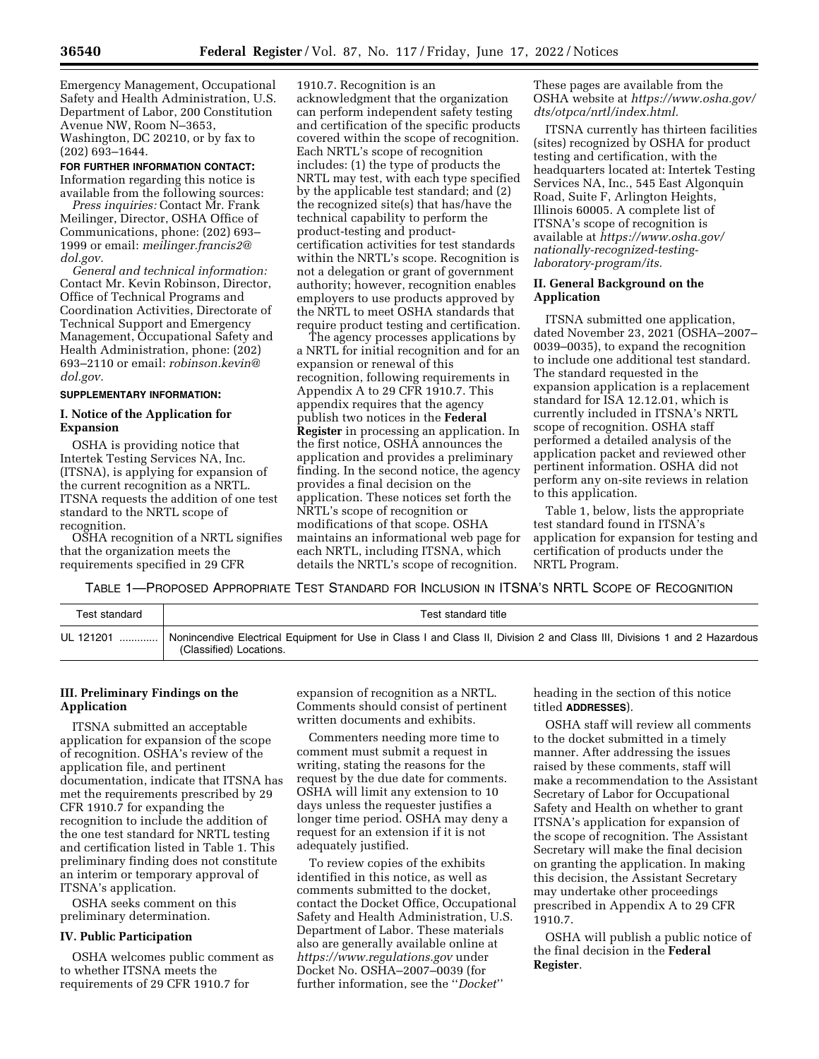Emergency Management, Occupational Safety and Health Administration, U.S. Department of Labor, 200 Constitution Avenue NW, Room N–3653, Washington, DC 20210, or by fax to (202) 693–1644.

**FOR FURTHER INFORMATION CONTACT:**  Information regarding this notice is available from the following sources:

*Press inquiries:* Contact Mr. Frank Meilinger, Director, OSHA Office of Communications, phone: (202) 693– 1999 or email: *[meilinger.francis2@](mailto:meilinger.francis2@dol.gov) [dol.gov.](mailto:meilinger.francis2@dol.gov)* 

*General and technical information:*  Contact Mr. Kevin Robinson, Director, Office of Technical Programs and Coordination Activities, Directorate of Technical Support and Emergency Management, Occupational Safety and Health Administration, phone: (202) 693–2110 or email: *[robinson.kevin@](mailto:robinson.kevin@dol.gov) [dol.gov.](mailto:robinson.kevin@dol.gov)* 

#### **SUPPLEMENTARY INFORMATION:**

# **I. Notice of the Application for Expansion**

OSHA is providing notice that Intertek Testing Services NA, Inc. (ITSNA), is applying for expansion of the current recognition as a NRTL. ITSNA requests the addition of one test standard to the NRTL scope of recognition.

OSHA recognition of a NRTL signifies that the organization meets the requirements specified in 29 CFR

1910.7. Recognition is an acknowledgment that the organization can perform independent safety testing and certification of the specific products covered within the scope of recognition. Each NRTL's scope of recognition includes: (1) the type of products the NRTL may test, with each type specified by the applicable test standard; and (2) the recognized site(s) that has/have the technical capability to perform the product-testing and productcertification activities for test standards within the NRTL's scope. Recognition is not a delegation or grant of government authority; however, recognition enables employers to use products approved by the NRTL to meet OSHA standards that require product testing and certification.

The agency processes applications by a NRTL for initial recognition and for an expansion or renewal of this recognition, following requirements in Appendix A to 29 CFR 1910.7. This appendix requires that the agency publish two notices in the **Federal Register** in processing an application. In the first notice, OSHA announces the application and provides a preliminary finding. In the second notice, the agency provides a final decision on the application. These notices set forth the NRTL's scope of recognition or modifications of that scope. OSHA maintains an informational web page for each NRTL, including ITSNA, which details the NRTL's scope of recognition.

These pages are available from the OSHA website at *[https://www.osha.gov/](https://www.osha.gov/dts/otpca/nrtl/index.html) [dts/otpca/nrtl/index.html.](https://www.osha.gov/dts/otpca/nrtl/index.html)* 

ITSNA currently has thirteen facilities (sites) recognized by OSHA for product testing and certification, with the headquarters located at: Intertek Testing Services NA, Inc., 545 East Algonquin Road, Suite F, Arlington Heights, Illinois 60005. A complete list of ITSNA's scope of recognition is available at *[https://www.osha.gov/](https://www.osha.gov/nationally-recognized-testing-laboratory-program/its)  [nationally-recognized-testing](https://www.osha.gov/nationally-recognized-testing-laboratory-program/its)[laboratory-program/its.](https://www.osha.gov/nationally-recognized-testing-laboratory-program/its)* 

## **II. General Background on the Application**

ITSNA submitted one application, dated November 23, 2021 (OSHA–2007– 0039–0035), to expand the recognition to include one additional test standard. The standard requested in the expansion application is a replacement standard for ISA 12.12.01, which is currently included in ITSNA's NRTL scope of recognition. OSHA staff performed a detailed analysis of the application packet and reviewed other pertinent information. OSHA did not perform any on-site reviews in relation to this application.

Table 1, below, lists the appropriate test standard found in ITSNA's application for expansion for testing and certification of products under the NRTL Program.

TABLE 1—PROPOSED APPROPRIATE TEST STANDARD FOR INCLUSION IN ITSNA'S NRTL SCOPE OF RECOGNITION

| Test standard | Test standard title                                                                                                                                 |
|---------------|-----------------------------------------------------------------------------------------------------------------------------------------------------|
| UL 121201     | Nonincendive Electrical Equipment for Use in Class I and Class II, Division 2 and Class III, Divisions 1 and 2 Hazardous<br>(Classified) Locations. |

# **III. Preliminary Findings on the Application**

ITSNA submitted an acceptable application for expansion of the scope of recognition. OSHA's review of the application file, and pertinent documentation, indicate that ITSNA has met the requirements prescribed by 29 CFR 1910.7 for expanding the recognition to include the addition of the one test standard for NRTL testing and certification listed in Table 1. This preliminary finding does not constitute an interim or temporary approval of ITSNA's application.

OSHA seeks comment on this preliminary determination.

### **IV. Public Participation**

OSHA welcomes public comment as to whether ITSNA meets the requirements of 29 CFR 1910.7 for

expansion of recognition as a NRTL. Comments should consist of pertinent written documents and exhibits.

Commenters needing more time to comment must submit a request in writing, stating the reasons for the request by the due date for comments. OSHA will limit any extension to 10 days unless the requester justifies a longer time period. OSHA may deny a request for an extension if it is not adequately justified.

To review copies of the exhibits identified in this notice, as well as comments submitted to the docket, contact the Docket Office, Occupational Safety and Health Administration, U.S. Department of Labor. These materials also are generally available online at *<https://www.regulations.gov>* under Docket No. OSHA–2007–0039 (for further information, see the ''*Docket*''

heading in the section of this notice titled **ADDRESSES**).

OSHA staff will review all comments to the docket submitted in a timely manner. After addressing the issues raised by these comments, staff will make a recommendation to the Assistant Secretary of Labor for Occupational Safety and Health on whether to grant ITSNA's application for expansion of the scope of recognition. The Assistant Secretary will make the final decision on granting the application. In making this decision, the Assistant Secretary may undertake other proceedings prescribed in Appendix A to 29 CFR 1910.7.

OSHA will publish a public notice of the final decision in the **Federal Register**.